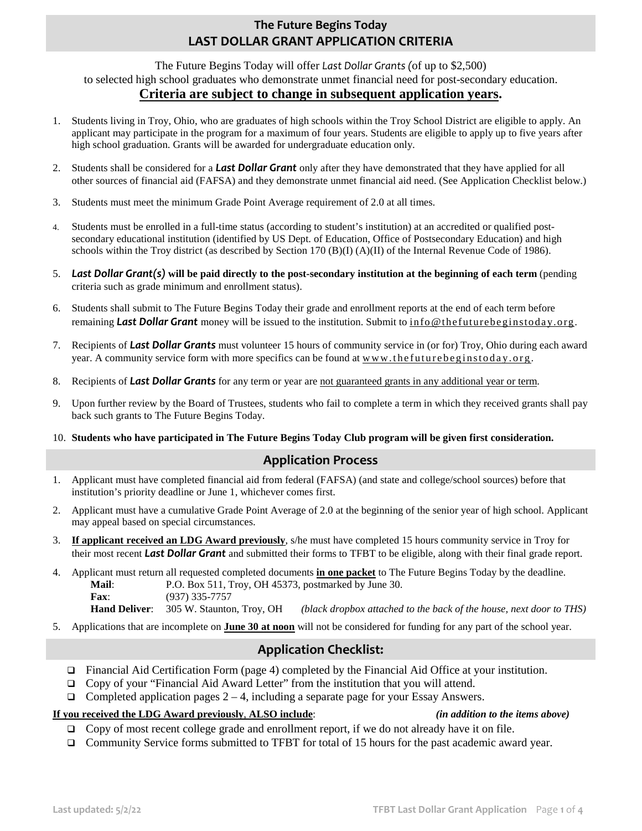#### **The Future Begins Today LAST DOLLAR GRANT APPLICATION CRITERIA**

The Future Begins Today will offer *Last Dollar Grants (*of up to \$2,500) to selected high school graduates who demonstrate unmet financial need for post-secondary education. **Criteria are subject to change in subsequent application years.**

- 1. Students living in Troy, Ohio, who are graduates of high schools within the Troy School District are eligible to apply. An applicant may participate in the program for a maximum of four years. Students are eligible to apply up to five years after high school graduation. Grants will be awarded for undergraduate education only.
- 2. Students shall be considered for a *Last Dollar Grant* only after they have demonstrated that they have applied for all other sources of financial aid (FAFSA) and they demonstrate unmet financial aid need. (See Application Checklist below.)
- 3. Students must meet the minimum Grade Point Average requirement of 2.0 at all times.
- 4. Students must be enrolled in a full-time status (according to student's institution) at an accredited or qualified postsecondary educational institution (identified by US Dept. of Education, Office of Postsecondary Education) and high schools within the Troy district (as described by Section 170 (B)(I) (A)(II) of the Internal Revenue Code of 1986).
- 5. *Last Dollar Grant(s)* **will be paid directly to the post-secondary institution at the beginning of each term** (pending criteria such as grade minimum and enrollment status).
- 6. Students shall submit to The Future Begins Today their grade and enrollment reports at the end of each term before remaining *Last Dollar Grant* money will be issued to the institution. Submit to info@thefuturebeginstoday.org.
- 7. Recipients of *Last Dollar Grants* must volunteer 15 hours of community service in (or for) Troy, Ohio during each award year. A community service form with more specifics can be found at www.thefuturebeginstoday.org.
- 8. Recipients of *Last Dollar Grants* for any term or year are not guaranteed grants in any additional year or term.
- 9. Upon further review by the Board of Trustees, students who fail to complete a term in which they received grants shall pay back such grants to The Future Begins Today.
- 10. **Students who have participated in The Future Begins Today Club program will be given first consideration.**

#### **Application Process**

- 1. Applicant must have completed financial aid from federal (FAFSA) (and state and college/school sources) before that institution's priority deadline or June 1, whichever comes first.
- 2. Applicant must have a cumulative Grade Point Average of 2.0 at the beginning of the senior year of high school. Applicant may appeal based on special circumstances.
- 3. **If applicant received an LDG Award previously**, s/he must have completed 15 hours community service in Troy for their most recent *Last Dollar Grant* and submitted their forms to TFBT to be eligible, along with their final grade report.
- 4. Applicant must return all requested completed documents **in one packet** to The Future Begins Today by the deadline. **Mail**: P.O. Box 511, Troy, OH 45373, postmarked by June 30. **Fax**: (937) 335-7757 **Hand Deliver**: 305 W. Staunton, Troy, OH *(black dropbox attached to the back of the house, next door to THS)*
- 5. Applications that are incomplete on **June 30 at noon** will not be considered for funding for any part of the school year.

### **Application Checklist:**

- Financial Aid Certification Form (page 4) completed by the Financial Aid Office at your institution.
- Copy of your "Financial Aid Award Letter" from the institution that you will attend.
- Completed application pages  $2 4$ , including a separate page for your Essay Answers.

#### **If you received the LDG Award previously**, **ALSO include**:*(in addition to the items above)*

- $\Box$  Copy of most recent college grade and enrollment report, if we do not already have it on file.
- Community Service forms submitted to TFBT for total of 15 hours for the past academic award year.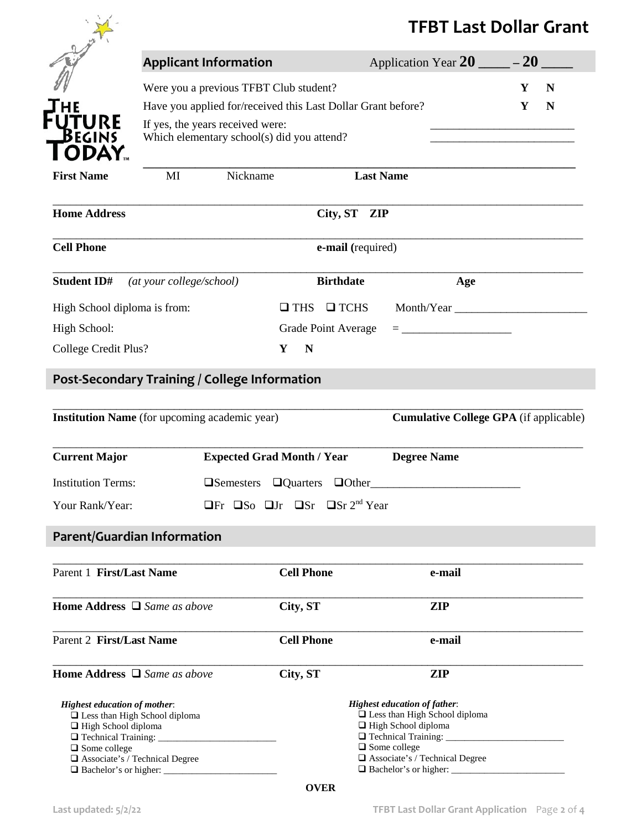# **TFBT Last Dollar Grant**

|                                                                                                                                                                        |                                                                                | <b>TFBT Last Dollar Grant</b>                                   |                                                                                                                                                           |        |  |  |  |
|------------------------------------------------------------------------------------------------------------------------------------------------------------------------|--------------------------------------------------------------------------------|-----------------------------------------------------------------|-----------------------------------------------------------------------------------------------------------------------------------------------------------|--------|--|--|--|
|                                                                                                                                                                        | <b>Applicant Information</b>                                                   |                                                                 | Application Year $20$                                                                                                                                     | $-20$  |  |  |  |
|                                                                                                                                                                        | Were you a previous TFBT Club student?                                         |                                                                 |                                                                                                                                                           | Y<br>N |  |  |  |
|                                                                                                                                                                        |                                                                                | Have you applied for/received this Last Dollar Grant before?    |                                                                                                                                                           | Y<br>N |  |  |  |
| <b>BEGINS</b><br><b>DDAY</b>                                                                                                                                           | If yes, the years received were:<br>Which elementary school(s) did you attend? |                                                                 |                                                                                                                                                           |        |  |  |  |
| <b>First Name</b>                                                                                                                                                      | $\mathbf{M}$                                                                   | Nickname                                                        | <b>Last Name</b>                                                                                                                                          |        |  |  |  |
| <b>Home Address</b>                                                                                                                                                    |                                                                                | City, ST ZIP                                                    |                                                                                                                                                           |        |  |  |  |
| <b>Cell Phone</b>                                                                                                                                                      |                                                                                | e-mail (required)                                               |                                                                                                                                                           |        |  |  |  |
| <b>Student ID#</b>                                                                                                                                                     | (at your college/school)                                                       | <b>Birthdate</b>                                                | Age                                                                                                                                                       |        |  |  |  |
| High School diploma is from:                                                                                                                                           |                                                                                | $\Box$ THS $\Box$ TCHS                                          |                                                                                                                                                           |        |  |  |  |
| High School:                                                                                                                                                           |                                                                                | Grade Point Average                                             |                                                                                                                                                           |        |  |  |  |
| College Credit Plus?                                                                                                                                                   |                                                                                | N<br>Y                                                          |                                                                                                                                                           |        |  |  |  |
|                                                                                                                                                                        | Post-Secondary Training / College Information                                  |                                                                 |                                                                                                                                                           |        |  |  |  |
|                                                                                                                                                                        | <b>Institution Name</b> (for upcoming academic year)                           |                                                                 | <b>Cumulative College GPA</b> (if applicable)                                                                                                             |        |  |  |  |
| <b>Current Major</b>                                                                                                                                                   |                                                                                | <b>Expected Grad Month / Year</b>                               | <b>Degree Name</b>                                                                                                                                        |        |  |  |  |
| <b>Institution Terms:</b>                                                                                                                                              |                                                                                |                                                                 |                                                                                                                                                           |        |  |  |  |
| Your Rank/Year:                                                                                                                                                        |                                                                                | $\Box$ Fr $\Box$ So $\Box$ Jr $\Box$ Sr $\Box$ Sr $2^{nd}$ Year |                                                                                                                                                           |        |  |  |  |
|                                                                                                                                                                        | <b>Parent/Guardian Information</b>                                             |                                                                 |                                                                                                                                                           |        |  |  |  |
| Parent 1 First/Last Name                                                                                                                                               |                                                                                | <b>Cell Phone</b>                                               | e-mail                                                                                                                                                    |        |  |  |  |
|                                                                                                                                                                        |                                                                                |                                                                 |                                                                                                                                                           |        |  |  |  |
| Home Address $\Box$ Same as above                                                                                                                                      |                                                                                | City, ST                                                        | <b>ZIP</b>                                                                                                                                                |        |  |  |  |
| <b>Parent 2 First/Last Name</b>                                                                                                                                        |                                                                                | <b>Cell Phone</b>                                               | e-mail                                                                                                                                                    |        |  |  |  |
| Home Address $\Box$ Same as above                                                                                                                                      |                                                                                | City, ST                                                        | ZIP                                                                                                                                                       |        |  |  |  |
| <b>Highest education of mother:</b><br>□ Less than High School diploma<br>$\hfill\Box$ High School diploma<br>$\square$ Some college<br>Associate's / Technical Degree |                                                                                |                                                                 | <b>Highest education of father:</b><br>□ Less than High School diploma<br>High School diploma<br>$\square$ Some college<br>Associate's / Technical Degree |        |  |  |  |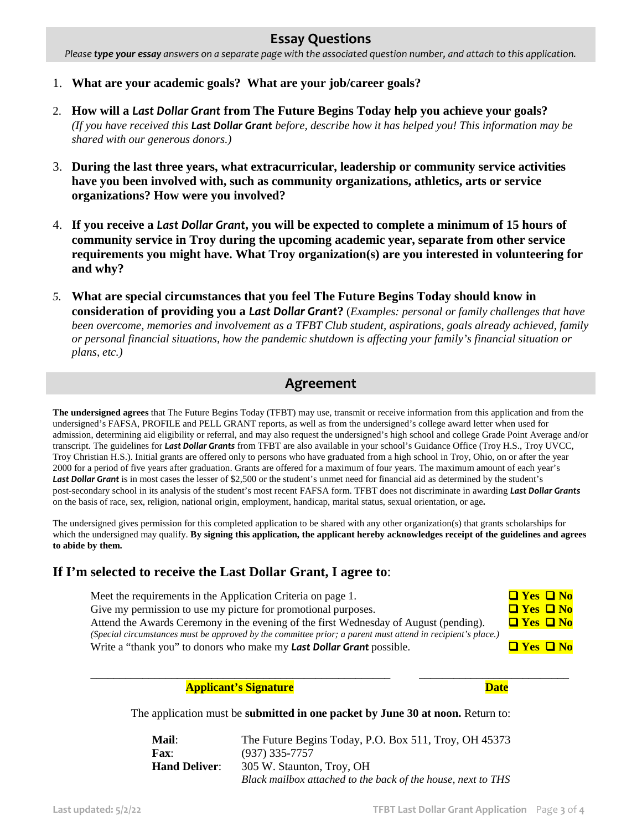### **Essay Questions**

*Please type your essay answers on a separate page with the associated question number, and attach to this application.*

- 1. **What are your academic goals? What are your job/career goals?**
- 2. **How will a** *Last Dollar Grant* **from The Future Begins Today help you achieve your goals?**  *(If you have received this Last Dollar Grant before, describe how it has helped you! This information may be shared with our generous donors.)*
- 3. **During the last three years, what extracurricular, leadership or community service activities have you been involved with, such as community organizations, athletics, arts or service organizations? How were you involved?**
- 4. **If you receive a** *Last Dollar Grant***, you will be expected to complete a minimum of 15 hours of community service in Troy during the upcoming academic year, separate from other service requirements you might have. What Troy organization(s) are you interested in volunteering for and why?**
- *5.* **What are special circumstances that you feel The Future Begins Today should know in consideration of providing you a** *Last Dollar Grant***?** (*Examples: personal or family challenges that have been overcome, memories and involvement as a TFBT Club student, aspirations, goals already achieved, family or personal financial situations, how the pandemic shutdown is affecting your family's financial situation or plans, etc.)*

## **Agreement**

**The undersigned agrees** that The Future Begins Today (TFBT) may use, transmit or receive information from this application and from the undersigned's FAFSA, PROFILE and PELL GRANT reports, as well as from the undersigned's college award letter when used for admission, determining aid eligibility or referral, and may also request the undersigned's high school and college Grade Point Average and/or transcript. The guidelines for *Last Dollar Grants* from TFBT are also available in your school's Guidance Office (Troy H.S., Troy UVCC, Troy Christian H.S.). Initial grants are offered only to persons who have graduated from a high school in Troy, Ohio, on or after the year 2000 for a period of five years after graduation. Grants are offered for a maximum of four years. The maximum amount of each year's Last Dollar Grant is in most cases the lesser of \$2,500 or the student's unmet need for financial aid as determined by the student's post-secondary school in its analysis of the student's most recent FAFSA form. TFBT does not discriminate in awarding *Last Dollar Grants* on the basis of race, sex, religion, national origin, employment, handicap, marital status, sexual orientation, or age**.** 

The undersigned gives permission for this completed application to be shared with any other organization(s) that grants scholarships for which the undersigned may qualify. **By signing this application, the applicant hereby acknowledges receipt of the guidelines and agrees to abide by them.** 

#### **If I'm selected to receive the Last Dollar Grant, I agree to**:

Meet the requirements in the Application Criteria on page 1.  $\Box$  **Yes**  $\Box$  **No** Give my permission to use my picture for promotional purposes. Attend the Awards Ceremony in the evening of the first Wednesday of August (pending). *(Special circumstances must be approved by the committee prior; a parent must attend in recipient's place.)* Write a "thank you" to donors who make my **Last Dollar Grant** possible.

| <u>штеѕ штуо</u><br>$\Box$ Yes $\Box$ No |  |
|------------------------------------------|--|
| $\Box$ Yes $\Box$ No                     |  |
| $\Box$ Yes $\Box$ No                     |  |

#### **Applicant's Signature Date**

**\_\_\_\_\_\_\_\_\_\_\_\_\_\_\_\_\_\_\_\_\_\_\_\_\_\_\_\_\_\_\_\_\_\_\_\_\_\_\_\_\_\_\_\_\_\_\_\_\_\_\_\_ \_\_\_\_\_\_\_\_\_\_\_\_\_\_\_\_\_\_\_\_\_\_\_\_\_\_**

The application must be **submitted in one packet by June 30 at noon.** Return to:

| Mail:                | The Future Begins Today, P.O. Box 511, Troy, OH 45373        |
|----------------------|--------------------------------------------------------------|
| <b>Fax:</b>          | $(937)$ 335-7757                                             |
| <b>Hand Deliver:</b> | 305 W. Staunton, Troy, OH                                    |
|                      | Black mailbox attached to the back of the house, next to THS |